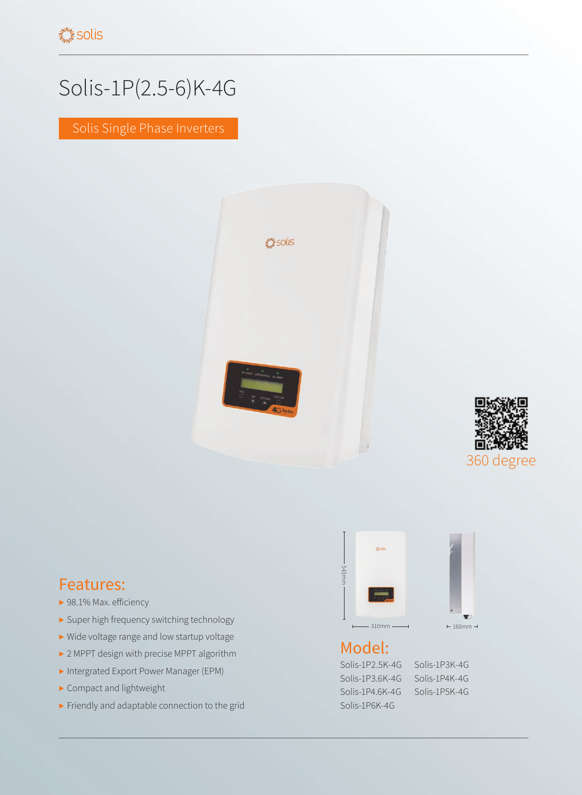## Solis-1P(2.5-6)K-4G

Solis Single Phase Inverters





## Features:

- ▶ 98.1% Max. efficiency
- ▶ Super high frequency switching technology
- ▶ Wide voltage range and low startup voltage
- ▶ 2 MPPT design with precise MPPT algorithm
- ▶ Intergrated Export Power Manager (EPM)
- ▶ Compact and lightweight
- ▶ Friendly and adaptable connection to the grid



## Model:

Solis-1P2.5K-4G Solis-1P3K-4G Solis-1P3.6K-4G Solis-1P4K-4G Solis-1P4.6K-4G Solis-1P5K-4G Solis-1P6K-4G